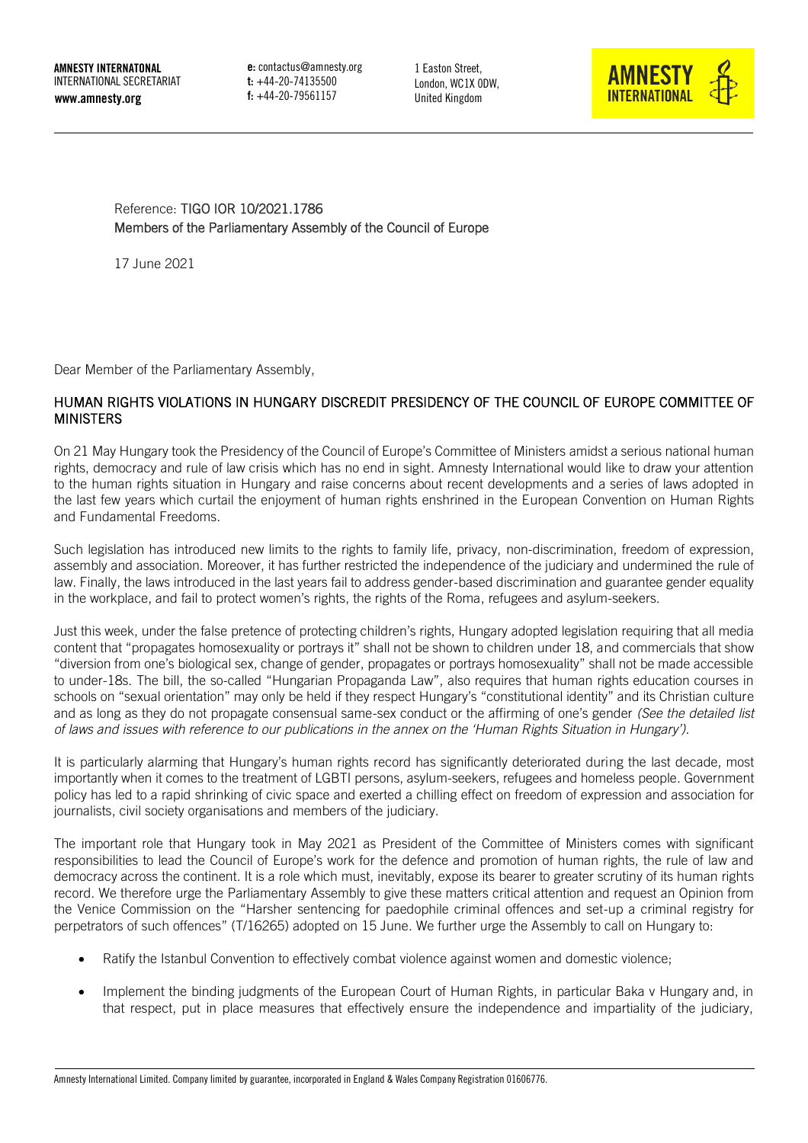e: contactus@amnesty.org t: +44-20-74135500 f: +44-20-79561157

1 Easton Street, London, WC1X 0DW, United Kingdom



### <span id="page-0-0"></span>Reference: TIGO IOR 10/2021.1786 Members of the Parliamentary Assembly of the Council of Europe

17 June 2021

Dear Member of the Parliamentary Assembly,

## HUMAN RIGHTS VIOLATIONS IN HUNGARY DISCREDIT PRESIDENCY OF THE COUNCIL OF EUROPE COMMITTEE OF MINISTERS

On 21 May Hungary took the Presidency of the Council of Europe's Committee of Ministers amidst a serious national human rights, democracy and rule of law crisis which has no end in sight. Amnesty International would like to draw your attention to the human rights situation in Hungary and raise concerns about recent developments and a series of laws adopted in the last few years which curtail the enjoyment of human rights enshrined in the European Convention on Human Rights and Fundamental Freedoms.

Such legislation has introduced new limits to the rights to family life, privacy, non-discrimination, freedom of expression, assembly and association. Moreover, it has further restricted the independence of the judiciary and undermined the rule of law. Finally, the laws introduced in the last years fail to address gender-based discrimination and guarantee gender equality in the workplace, and fail to protect women's rights, the rights of the Roma, refugees and asylum-seekers.

Just this week, under the false pretence of protecting children's rights, Hungary adopted legislation requiring that all media content that "propagates homosexuality or portrays it" shall not be shown to children under 18, and commercials that show "diversion from one's biological sex, change of gender, propagates or portrays homosexuality" shall not be made accessible to under-18s. The bill, the so-called "Hungarian Propaganda Law", also requires that human rights education courses in schools on "sexual orientation" may only be held if they respect Hungary's "constitutional identity" and its Christian culture and as long as they do not propagate consensual same-sex conduct or the affirming of one's gender *(See the detailed list of laws and issues with reference to our publications in the annex on the 'Human Rights Situation in Hungary').*

It is particularly alarming that Hungary's human rights record has significantly deteriorated during the last decade, most importantly when it comes to the treatment of LGBTI persons, asylum-seekers, refugees and homeless people. Government policy has led to a rapid shrinking of civic space and exerted a chilling effect on freedom of expression and association for journalists, civil society organisations and members of the judiciary.

The important role that Hungary took in May 2021 as President of the Committee of Ministers comes with significant responsibilities to lead the Council of Europe's work for the defence and promotion of human rights, the rule of law and democracy across the continent. It is a role which must, inevitably, expose its bearer to greater scrutiny of its human rights record. We therefore urge the Parliamentary Assembly to give these matters critical attention and request an Opinion from the Venice Commission on the "Harsher sentencing for paedophile criminal offences and set-up a criminal registry for perpetrators of such offences" (T/16265) adopted on 15 June. We further urge the Assembly to call on Hungary to:

- Ratify the Istanbul Convention to effectively combat violence against women and domestic violence;
- Implement the binding judgments of the European Court of Human Rights, in particular Baka v Hungary and, in that respect, put in place measures that effectively ensure the independence and impartiality of the judiciary,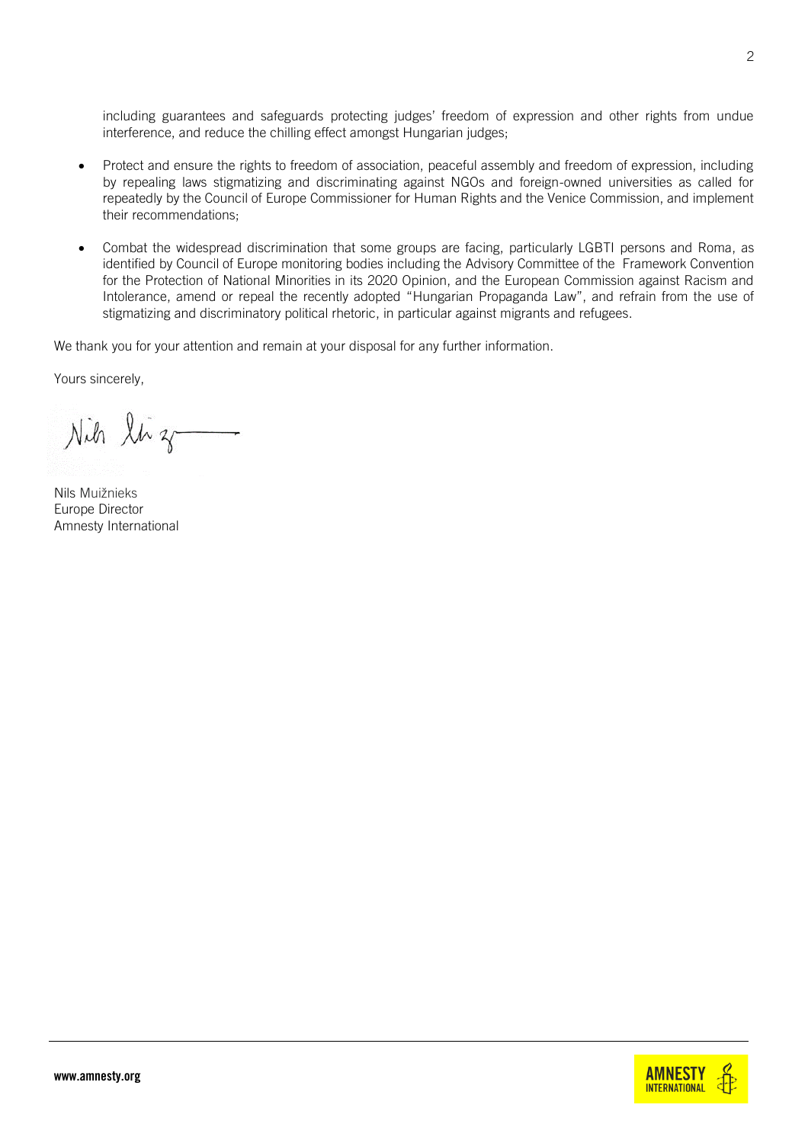including guarantees and safeguards protecting judges' freedom of expression and other rights from undue interference, and reduce the chilling effect amongst Hungarian judges;

- Protect and ensure the rights to freedom of association, peaceful assembly and freedom of expression, including by repealing laws stigmatizing and discriminating against NGOs and foreign-owned universities as called for repeatedly by the Council of Europe Commissioner for Human Rights and the Venice Commission, and implement their recommendations;
- Combat the widespread discrimination that some groups are facing, particularly LGBTI persons and Roma, as identified by Council of Europe monitoring bodies including the [Advisory Committee of the Framework Convention](https://rm.coe.int/5th-op-hungary-en/16809eb484)  [for the Protection of National Minorities](https://rm.coe.int/5th-op-hungary-en/16809eb484) in its 2020 Opinion, and the European Commission against Racism and Intolerance, amend or repeal the recently adopted "Hungarian Propaganda Law", and refrain from the use of stigmatizing and discriminatory political rhetoric, in particular against migrants and refugees.

We thank you for your attention and remain at your disposal for any further information.

Yours sincerely,

Nih liz

Nils Muižnieks Europe Director Amnesty International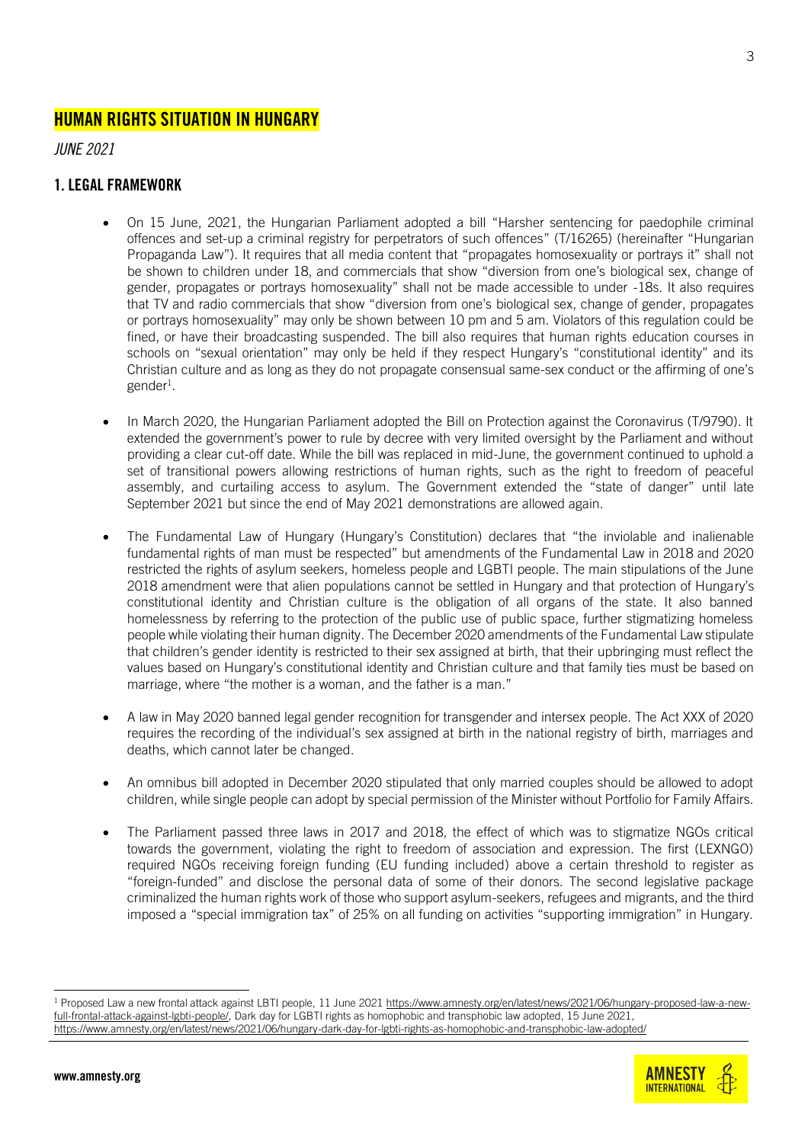# HUMAN RIGHTS SITUATION IN HUNGARY

*JUNE 2021*

# 1. LEGAL FRAMEWORK

- On 15 June, 2021, the Hungarian Parliament adopted a bill "Harsher sentencing for paedophile criminal offences and set-up a criminal registry for perpetrators of such offences" (T/16265) (hereinafter "Hungarian Propaganda Law"). It requires that all media content that "propagates homosexuality or portrays it" shall not be shown to children under 18, and commercials that show "diversion from one's biological sex, change of gender, propagates or portrays homosexuality" shall not be made accessible to under -18s. It also requires that TV and radio commercials that show "diversion from one's biological sex, change of gender, propagates or portrays homosexuality" may only be shown between 10 pm and 5 am. Violators of this regulation could be fined, or have their broadcasting suspended. The bill also requires that human rights education courses in schools on "sexual orientation" may only be held if they respect Hungary's "constitutional identity" and its Christian culture and as long as they do not propagate consensual same-sex conduct or the affirming of one's gender<sup>1</sup>.
- In March 2020, the Hungarian Parliament adopted the Bill on Protection against the Coronavirus (T/9790). It extended the government's power to rule by decree with very limited oversight by the Parliament and without providing a clear cut-off date. While the bill was replaced in mid-June, the government continued to uphold a set of transitional powers allowing restrictions of human rights, such as the right to freedom of peaceful assembly, and curtailing access to asylum. The Government extended the "state of danger" until late September 2021 but since the end of May 2021 demonstrations are allowed again.
- The Fundamental Law of Hungary (Hungary's Constitution) declares that "the inviolable and inalienable fundamental rights of man must be respected" but amendments of the Fundamental Law in 2018 and 2020 restricted the rights of asylum seekers, homeless people and LGBTI people. The main stipulations of the June 2018 amendment were that alien populations cannot be settled in Hungary and that protection of Hungary's constitutional identity and Christian culture is the obligation of all organs of the state. It also banned homelessness by referring to the protection of the public use of public space, further stigmatizing homeless people while violating their human dignity. The December 2020 amendments of the Fundamental Law stipulate that children's gender identity is restricted to their sex assigned at birth, that their upbringing must reflect the values based on Hungary's constitutional identity and Christian culture and that family ties must be based on marriage, where "the mother is a woman, and the father is a man."
- A law in May 2020 banned legal gender recognition for transgender and intersex people. The Act XXX of 2020 requires the recording of the individual's sex assigned at birth in the national registry of birth, marriages and deaths, which cannot later be changed.
- An omnibus bill adopted in December 2020 stipulated that only married couples should be allowed to adopt children, while single people can adopt by special permission of the Minister without Portfolio for Family Affairs.
- The Parliament passed three laws in 2017 and 2018, the effect of which was to stigmatize NGOs critical towards the government, violating the right to freedom of association and expression. The first (LEXNGO) required NGOs receiving foreign funding (EU funding included) above a certain threshold to register as "foreign-funded" and disclose the personal data of some of their donors. The second legislative package criminalized the human rights work of those who support asylum-seekers, refugees and migrants, and the third imposed a "special immigration tax" of 25% on all funding on activities "supporting immigration" in Hungary.

<sup>&</sup>lt;sup>1</sup> Proposed Law a new frontal attack against LBTI people, 11 June 202[1 https://www.amnesty.org/en/latest/news/2021/06/hungary-proposed-law-a-new](https://www.amnesty.org/en/latest/news/2021/06/hungary-proposed-law-a-new-full-frontal-attack-against-lgbti-people/)[full-frontal-attack-against-lgbti-people/,](https://www.amnesty.org/en/latest/news/2021/06/hungary-proposed-law-a-new-full-frontal-attack-against-lgbti-people/) Dark day for LGBTI rights as homophobic and transphobic law adopted, 15 June 2021, <https://www.amnesty.org/en/latest/news/2021/06/hungary-dark-day-for-lgbti-rights-as-homophobic-and-transphobic-law-adopted/>

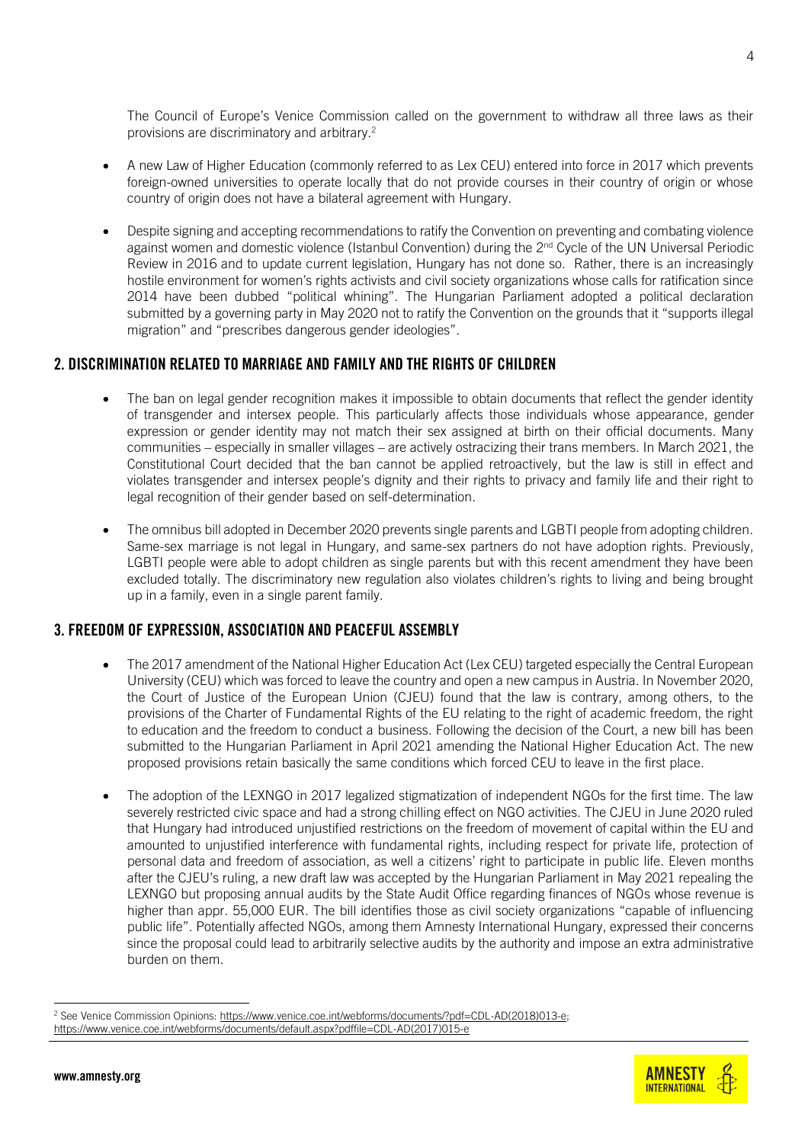The Council of Europe's Venice Commission called on the government to withdraw all three laws as their provisions are discriminatory and arbitrary.<sup>2</sup>

- A new Law of Higher Education (commonly referred to as Lex CEU) entered into force in 2017 which prevents foreign-owned universities to operate locally that do not provide courses in their country of origin or whose country of origin does not have a bilateral agreement with Hungary.
- Despite signing and accepting recommendations to ratify the Convention on preventing and combating violence against women and domestic violence (Istanbul Convention) during the 2<sup>nd</sup> Cycle of the UN Universal Periodic Review in 2016 and to update current legislation, Hungary has not done so. Rather, there is an increasingly hostile environment for women's rights activists and civil society organizations whose calls for ratification since 2014 have been dubbed "political whining". The Hungarian Parliament adopted a political declaration submitted by a governing party in May 2020 not to ratify the Convention on the grounds that it "supports illegal migration" and "prescribes dangerous gender ideologies".

#### 2. DISCRIMINATION RELATED TO MARRIAGE AND FAMILY AND THE RIGHTS OF CHILDREN

- The ban on legal gender recognition makes it impossible to obtain documents that reflect the gender identity of transgender and intersex people. This particularly affects those individuals whose appearance, gender expression or gender identity may not match their sex assigned at birth on their official documents. Many communities – especially in smaller villages – are actively ostracizing their trans members. In March 2021, the Constitutional Court decided that the ban cannot be applied retroactively, but the law is still in effect and violates transgender and intersex people's dignity and their rights to privacy and family life and their right to legal recognition of their gender based on self-determination.
- The omnibus bill adopted in December 2020 prevents single parents and LGBTI people from adopting children. Same-sex marriage is not legal in Hungary, and same-sex partners do not have adoption rights. Previously, LGBTI people were able to adopt children as single parents but with this recent amendment they have been excluded totally. The discriminatory new regulation also violates children's rights to living and being brought up in a family, even in a single parent family.

#### 3. FREEDOM OF EXPRESSION, ASSOCIATION AND PEACEFUL ASSEMBLY

- The 2017 amendment of the National Higher Education Act (Lex CEU) targeted especially the Central European University (CEU) which was forced to leave the country and open a new campus in Austria. In November 2020, the Court of Justice of the European Union (CJEU) found that the law is contrary, among others, to the provisions of the Charter of Fundamental Rights of the EU relating to the right of academic freedom, the right to education and the freedom to conduct a business. Following the decision of the Court, a new bill has been submitted to the Hungarian Parliament in April 2021 amending the National Higher Education Act. The new proposed provisions retain basically the same conditions which forced CEU to leave in the first place.
- The adoption of the LEXNGO in 2017 legalized stigmatization of independent NGOs for the first time. The law severely restricted civic space and had a strong chilling effect on NGO activities. The CJEU in June 2020 ruled that Hungary had introduced unjustified restrictions on the freedom of movement of capital within the EU and amounted to unjustified interference with fundamental rights, including respect for private life, protection of personal data and freedom of association, as well a citizens' right to participate in public life. Eleven months after the CJEU's ruling, a new draft law was accepted by the Hungarian Parliament in May 2021 repealing the LEXNGO but proposing annual audits by the State Audit Office regarding finances of NGOs whose revenue is higher than appr. 55,000 EUR. The bill identifies those as civil society organizations "capable of influencing public life". Potentially affected NGOs, among them Amnesty International Hungary, expressed their concerns since the proposal could lead to arbitrarily selective audits by the authority and impose an extra administrative burden on them.



<sup>&</sup>lt;sup>2</sup> See Venice Commission Opinions: [https://www.venice.coe.int/webforms/documents/?pdf=CDL-AD\(2018\)013-e;](https://www.venice.coe.int/webforms/documents/?pdf=CDL-AD(2018)013-e) [https://www.venice.coe.int/webforms/documents/default.aspx?pdffile=CDL-AD\(2017\)015-e](https://www.venice.coe.int/webforms/documents/default.aspx?pdffile=CDL-AD(2017)015-e)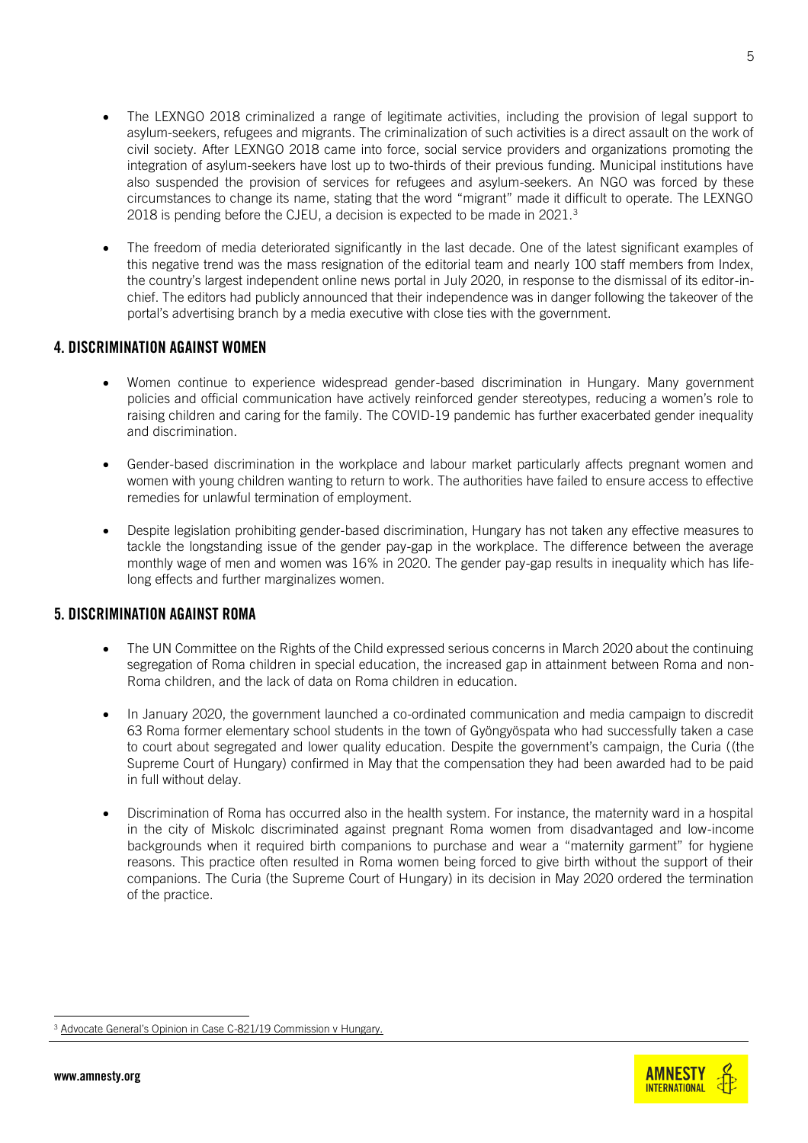- The LEXNGO 2018 criminalized a range of legitimate activities, including the provision of legal support to asylum-seekers, refugees and migrants. The criminalization of such activities is a direct assault on the work of civil society. After LEXNGO 2018 came into force, social service providers and organizations promoting the integration of asylum-seekers have lost up to two-thirds of their previous funding. Municipal institutions have also suspended the provision of services for refugees and asylum-seekers. An NGO was forced by these circumstances to change its name, stating that the word "migrant" made it difficult to operate. The LEXNGO 2018 is pending before the CJEU, a decision is expected to be made in 2021.<sup>3</sup>
- The freedom of media deteriorated significantly in the last decade. One of the latest significant examples of this negative trend was the mass resignation of the editorial team and nearly 100 staff members from Index, the country's largest independent online news portal in July 2020, in response to the dismissal of its editor-inchief. The editors had publicly announced that their independence was in danger following the takeover of the portal's advertising branch by a media executive with close ties with the government.

### 4. DISCRIMINATION AGAINST WOMEN

- Women continue to experience widespread gender-based discrimination in Hungary. Many government policies and official communication have actively reinforced gender stereotypes, reducing a women's role to raising children and caring for the family. The COVID-19 pandemic has further exacerbated gender inequality and discrimination.
- Gender-based discrimination in the workplace and labour market particularly affects pregnant women and women with young children wanting to return to work. The authorities have failed to ensure access to effective remedies for unlawful termination of employment.
- Despite legislation prohibiting gender-based discrimination, Hungary has not taken any effective measures to tackle the longstanding issue of the gender pay-gap in the workplace. The difference between the average monthly wage of men and women was 16% in 2020. The gender pay-gap results in inequality which has lifelong effects and further marginalizes women.

## 5. DISCRIMINATION AGAINST ROMA

- The UN Committee on the Rights of the Child expressed serious concerns in March 2020 about the continuing segregation of Roma children in special education, the increased gap in attainment between Roma and non-Roma children, and the lack of data on Roma children in education.
- In January 2020, the government launched a co-ordinated communication and media campaign to discredit 63 Roma former elementary school students in the town of Gyöngyöspata who had successfully taken a case to court about segregated and lower quality education. Despite the government's campaign, the Curia ((the Supreme Court of Hungary) confirmed in May that the compensation they had been awarded had to be paid in full without delay.
- Discrimination of Roma has occurred also in the health system. For instance, the maternity ward in a hospital in the city of Miskolc discriminated against pregnant Roma women from disadvantaged and low-income backgrounds when it required birth companions to purchase and wear a "maternity garment" for hygiene reasons. This practice often resulted in Roma women being forced to give birth without the support of their companions. The Curia (the Supreme Court of Hungary) in its decision in May 2020 ordered the termination of the practice.

[Advocate General's Opinion in Case C](https://curia.europa.eu/jcms/upload/docs/application/pdf/2021-02/cp210027en.pdf)-821/19 Commission v Hungary.



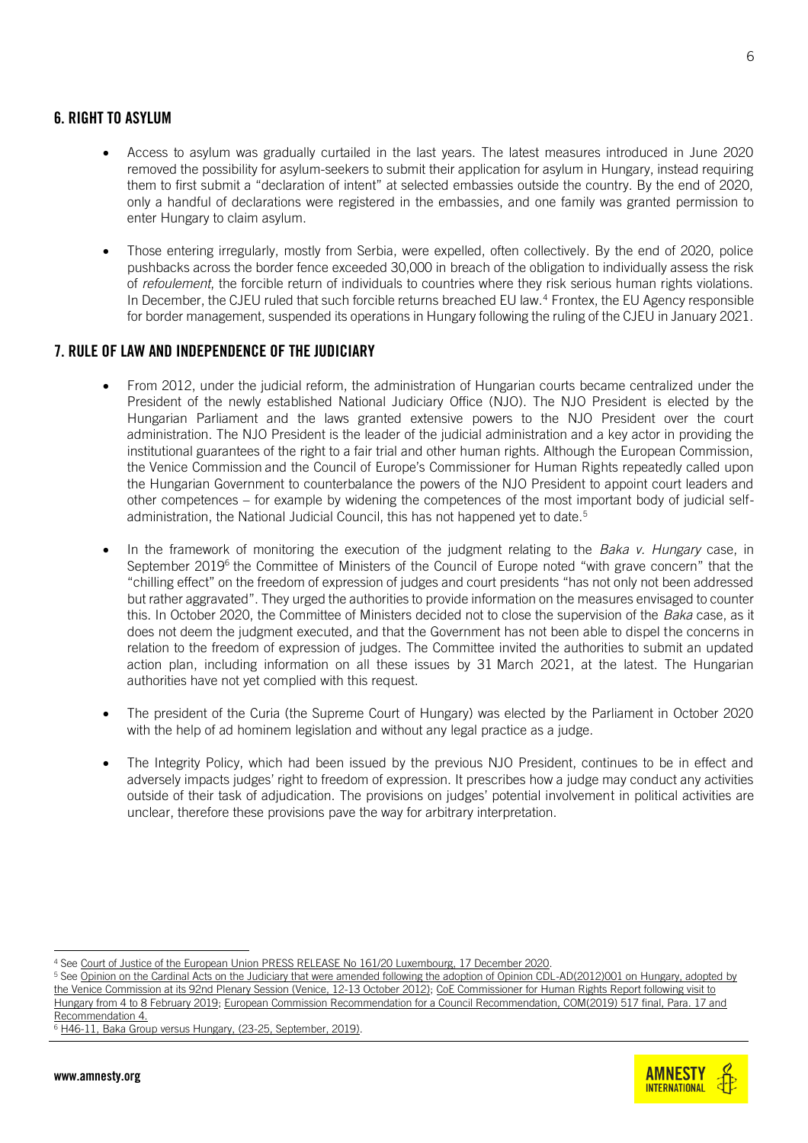- Access to asylum was gradually curtailed in the last years. The latest measures introduced in June 2020 removed the possibility for asylum-seekers to submit their application for asylum in Hungary, instead requiring them to first submit a "declaration of intent" at selected embassies outside the country. By the end of 2020, only a handful of declarations were registered in the embassies, and one family was granted permission to enter Hungary to claim asylum.
- Those entering irregularly, mostly from Serbia, were expelled, often collectively. By the end of 2020, police pushbacks across the border fence exceeded 30,000 in breach of the obligation to individually assess the risk of *refoulement*, the forcible return of individuals to countries where they risk serious human rights violations. In December, the CJEU ruled that such forcible returns breached EU law.<sup>4</sup> Frontex, the EU Agency responsible for border management, suspended its operations in Hungary following the ruling of the CJEU in January 2021.

# 7. RULE OF LAW AND INDEPENDENCE OF THE JUDICIARY

- From 2012, under the judicial reform, the administration of Hungarian courts became centralized under the President of the newly established National Judiciary Office (NJO). The NJO President is elected by the Hungarian Parliament and the laws granted extensive powers to the NJO President over the court administration. The NJO President is the leader of the judicial administration and a key actor in providing the institutional guarantees of the right to a fair trial and other human rights. Although the European Commission, the Venice Commission and the Council of Europe's Commissioner for Human Rights repeatedly called upon the Hungarian Government to counterbalance the powers of the NJO President to appoint court leaders and other competences – for example by widening the competences of the most important body of judicial selfadministration, the National Judicial Council, this has not happened yet to date.<sup>5</sup>
- In the framework of monitoring the execution of the judgment relating to the *Baka v. Hungary* case, in September 2019<sup>6</sup> the Committee of Ministers of the Council of Europe noted "with grave concern" that the "chilling effect" on the freedom of expression of judges and court presidents "has not only not been addressed but rather aggravated". They urged the authorities to provide information on the measures envisaged to counter this. In October 2020, the Committee of Ministers decided not to close the supervision of the *Baka* case, as it does not deem the judgment executed, and that the Government has not been able to dispel the concerns in relation to the freedom of expression of judges. The Committee invited the authorities to submit an updated action plan, including information on all these issues by 31 March 2021, at the latest. The Hungarian authorities have not yet complied with this request.
- The president of the Curia (the Supreme Court of Hungary) was elected by the Parliament in October 2020 with the help of ad hominem legislation and without any legal practice as a judge.
- The Integrity Policy, which had been issued by the previous NJO President, continues to be in effect and adversely impacts judges' right to freedom of expression. It prescribes how a judge may conduct any activities outside of their task of adjudication. The provisions on judges' potential involvement in political activities are unclear, therefore these provisions pave the way for arbitrary interpretation.



<sup>4</sup> Se[e Court of Justice of the European Union PRESS RELEASE No 161/20 Luxembourg, 17 December 2020.](https://curia.europa.eu/jcms/upload/docs/application/pdf/2020-12/cp200161en.pdf) 

<sup>&</sup>lt;sup>5</sup> See Opinion on the Cardinal Acts on the Judiciary that were amended following the adoption of Opinion CDL-AD(2012)001 on Hungary, adopted by [the Venice Commission at its 92nd Plenary Session \(Venice, 12-13 October 2012\);](https://www.venice.coe.int/webforms/documents/?pdf=CDL-AD(2012)020-e) [CoE Commissioner for Human Rights Report following visit to](https://rm.coe.int/report-on-the-visit-to-hungary-from-4-to-8-february-2019-by-dunja-mija/1680942f0d)  [Hungary from 4 to 8 February 2019;](https://rm.coe.int/report-on-the-visit-to-hungary-from-4-to-8-february-2019-by-dunja-mija/1680942f0d) [European Commission Recommendation for a Council Recommendation, COM\(2019\) 517 final, Para. 17 and](https://ec.europa.eu/transparency/regdoc/rep/1/2019/EN/COM-2019-517-F1-EN-MAIN-PART-1.PDF)  [Recommendation 4.](https://ec.europa.eu/transparency/regdoc/rep/1/2019/EN/COM-2019-517-F1-EN-MAIN-PART-1.PDF)

 $6$  [H46-11, Baka Group versus Hungary, \(23-25, September, 2019\).](http://hudoc.exec.coe.int/eng?i=CM/Del/Dec(2019)1355/H46-11E)